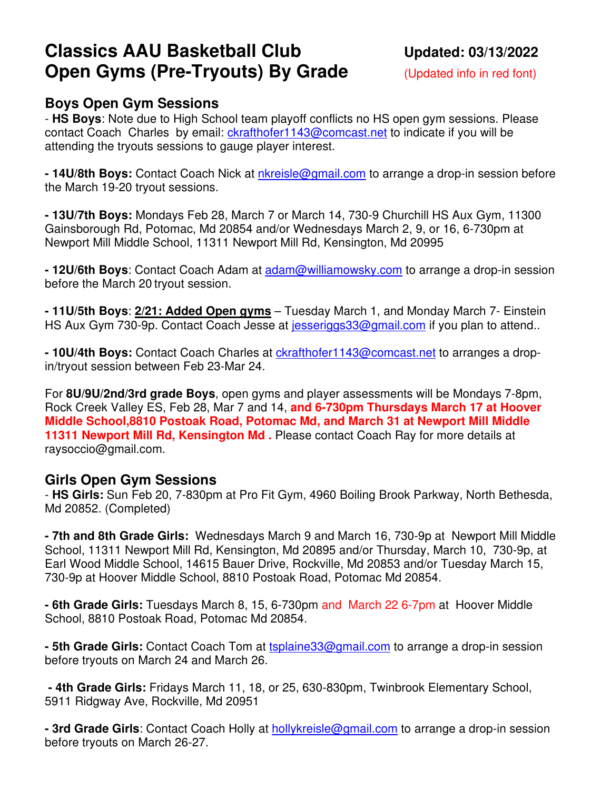# **Classics AAU Basketball Club Updated: 03/13/2022 Open Gyms (Pre-Tryouts) By Grade** (Updated info in red font)

## **Boys Open Gym Sessions**

- **HS Boys**: Note due to High School team playoff conflicts no HS open gym sessions. Please contact Coach Charles by email: ckrafthofer1143@comcast.net to indicate if you will be attending the tryouts sessions to gauge player interest.

**- 14U/8th Boys:** Contact Coach Nick at nkreisle@gmail.com to arrange a drop-in session before the March 19-20 tryout sessions.

**- 13U/7th Boys:** Mondays Feb 28, March 7 or March 14, 730-9 Churchill HS Aux Gym, 11300 Gainsborough Rd, Potomac, Md 20854 and/or Wednesdays March 2, 9, or 16, 6-730pm at Newport Mill Middle School, 11311 Newport Mill Rd, Kensington, Md 20995

**- 12U/6th Boys**: Contact Coach Adam at adam@williamowsky.com to arrange a drop-in session before the March 20 tryout session.

**- 11U/5th Boys**: **2/21: Added Open gyms** – Tuesday March 1, and Monday March 7- Einstein HS Aux Gym 730-9p. Contact Coach Jesse at jesseriggs 33@gmail.com if you plan to attend..

**- 10U/4th Boys:** Contact Coach Charles at ckrafthofer1143@comcast.net to arranges a dropin/tryout session between Feb 23-Mar 24.

For **8U/9U/2nd/3rd grade Boys**, open gyms and player assessments will be Mondays 7-8pm, Rock Creek Valley ES, Feb 28, Mar 7 and 14, **and 6-730pm Thursdays March 17 at Hoover Middle School,8810 Postoak Road, Potomac Md, and March 31 at Newport Mill Middle 11311 Newport Mill Rd, Kensington Md.** Please contact Coach Ray for more details at raysoccio@gmail.com.

### **Girls Open Gym Sessions**

- **HS Girls:** Sun Feb 20, 7-830pm at Pro Fit Gym, 4960 Boiling Brook Parkway, North Bethesda, Md 20852. (Completed)

**- 7th and 8th Grade Girls:** Wednesdays March 9 and March 16, 730-9p at Newport Mill Middle School, 11311 Newport Mill Rd, Kensington, Md 20895 and/or Thursday, March 10, 730-9p, at Earl Wood Middle School, 14615 Bauer Drive, Rockville, Md 20853 and/or Tuesday March 15, 730-9p at Hoover Middle School, 8810 Postoak Road, Potomac Md 20854.

**- 6th Grade Girls:** Tuesdays March 8, 15, 6-730pm and March 22 6-7pm at Hoover Middle School, 8810 Postoak Road, Potomac Md 20854.

**- 5th Grade Girls:** Contact Coach Tom at tsplaine33@gmail.com to arrange a drop-in session before tryouts on March 24 and March 26.

 **- 4th Grade Girls:** Fridays March 11, 18, or 25, 630-830pm, Twinbrook Elementary School, 5911 Ridgway Ave, Rockville, Md 20951

**- 3rd Grade Girls**: Contact Coach Holly at **hollykreisle@gmail.com** to arrange a drop-in session before tryouts on March 26-27.